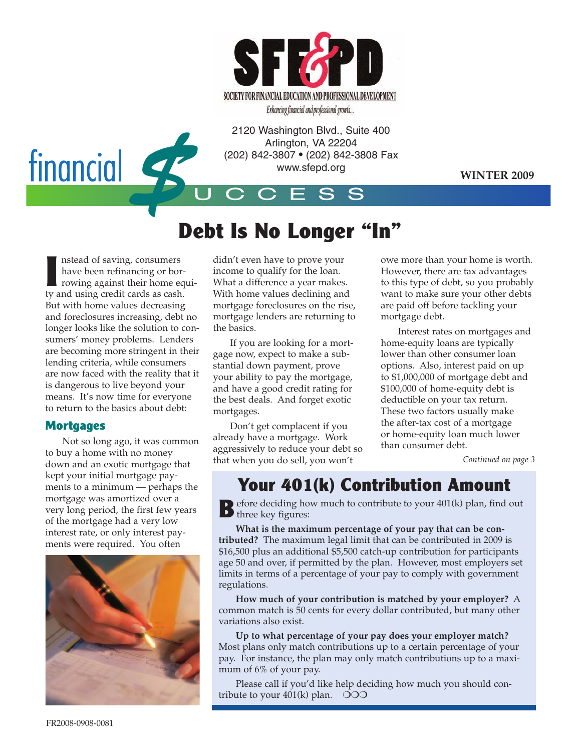

EMMRCRII AND FUNDERING UNITED AT PROPERTY ON A SUITE 400<br>
2120 Washington Blvd., Suite 400<br>
Arlington, VA 22204<br>
(202) 842-3807 • (202) 842-3808 Fa<br>
www.sfepd.org<br>
CCESS Arlington, VA 22204 (202) 842-3807 • (202) 842-3808 Fax www.sfepd.org

**WINTER 2009**

# **Debt Is No Longer "In"**

U C C E S S

**I** nstead of saving, consumers have been refinancing or borrowing against their home equity and using credit cards as cash. But with home values decreasing and foreclosures increasing, debt no longer looks like the solution to consumers' money problems. Lenders are becoming more stringent in their lending criteria, while consumers are now faced with the reality that it is dangerous to live beyond your means. It's now time for everyone to return to the basics about debt:

### **Mortgages**

Not so long ago, it was common to buy a home with no money down and an exotic mortgage that kept your initial mortgage payments to a minimum — perhaps the mortgage was amortized over a very long period, the first few years of the mortgage had a very low interest rate, or only interest payments were required. You often



didn't even have to prove your income to qualify for the loan. What a difference a year makes. With home values declining and mortgage foreclosures on the rise, mortgage lenders are returning to the basics.

If you are looking for a mortgage now, expect to make a substantial down payment, prove your ability to pay the mortgage, and have a good credit rating for the best deals. And forget exotic mortgages.

Don't get complacent if you already have a mortgage. Work aggressively to reduce your debt so that when you do sell, you won't

owe more than your home is worth. However, there are tax advantages to this type of debt, so you probably want to make sure your other debts are paid off before tackling your mortgage debt.

Interest rates on mortgages and home-equity loans are typically lower than other consumer loan options. Also, interest paid on up to \$1,000,000 of mortgage debt and \$100,000 of home-equity debt is deductible on your tax return. These two factors usually make the after-tax cost of a mortgage or home-equity loan much lower than consumer debt.

*Continued on page 3*

## **Your 401(k) Contribution Amount**

**B**efore deciding how much to contribute to your 401(k) plan, find out B entre des figures:

**What is the maximum percentage of your pay that can be contributed?** The maximum legal limit that can be contributed in 2009 is \$16,500 plus an additional \$5,500 catch-up contribution for participants age 50 and over, if permitted by the plan. However, most employers set limits in terms of a percentage of your pay to comply with government regulations.

**How much of your contribution is matched by your employer?** A common match is 50 cents for every dollar contributed, but many other variations also exist.

**Up to what percentage of your pay does your employer match?** Most plans only match contributions up to a certain percentage of your pay. For instance, the plan may only match contributions up to a maximum of 6% of your pay.

Please call if you'd like help deciding how much you should contribute to your  $401(k)$  plan.  $\odot$ OO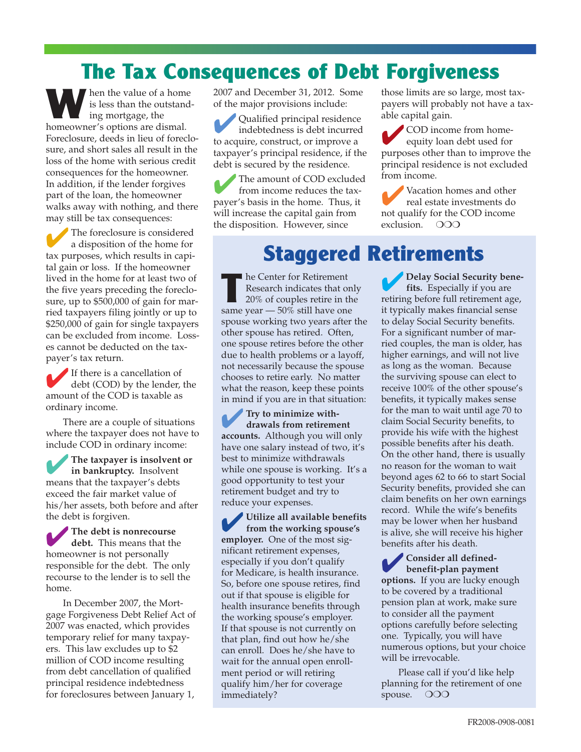## **The Tax Consequences of Debt Forgiveness**

**W** hen the value of a home is less than the outstanding mortgage, the homeowner's options are dismal. Foreclosure, deeds in lieu of foreclosure, and short sales all result in the loss of the home with serious credit consequences for the homeowner. In addition, if the lender forgives part of the loan, the homeowner walks away with nothing, and there may still be tax consequences:

The foreclosure is considered<br>a disposition of the home for tax purposes, which results in capital gain or loss. If the homeowner lived in the home for at least two of the five years preceding the foreclosure, up to \$500,000 of gain for married taxpayers filing jointly or up to \$250,000 of gain for single taxpayers can be excluded from income. Losses cannot be deducted on the taxpayer's tax return.

✔If there is a cancellation of debt (COD) by the lender, the amount of the COD is taxable as ordinary income.

There are a couple of situations where the taxpayer does not have to include COD in ordinary income:

✔**The taxpayer is insolvent or in bankruptcy.** Insolvent means that the taxpayer's debts exceed the fair market value of his/her assets, both before and after the debt is forgiven.

✔**The debt is nonrecourse debt.** This means that the homeowner is not personally responsible for the debt. The only recourse to the lender is to sell the home.

In December 2007, the Mortgage Forgiveness Debt Relief Act of 2007 was enacted, which provides temporary relief for many taxpayers. This law excludes up to \$2 million of COD income resulting from debt cancellation of qualified principal residence indebtedness for foreclosures between January 1,

2007 and December 31, 2012. Some of the major provisions include:

Qualified principal residence indebtedness is debt incurred to acquire, construct, or improve a taxpayer's principal residence, if the debt is secured by the residence.

The amount of COD excluded from income reduces the taxpayer's basis in the home. Thus, it will increase the capital gain from the disposition. However, since

those limits are so large, most taxpayers will probably not have a taxable capital gain.

✔COD income from homeequity loan debt used for purposes other than to improve the principal residence is not excluded from income.

✔Vacation homes and other real estate investments do not qualify for the COD income exclusion. ❍❍❍

## **Staggered Retirements**

**T** he Center for Retirement Research indicates that only 20% of couples retire in the same year — 50% still have one spouse working two years after the other spouse has retired. Often, one spouse retires before the other due to health problems or a layoff, not necessarily because the spouse chooses to retire early. No matter what the reason, keep these points in mind if you are in that situation:

✔**Try to minimize withdrawals from retirement accounts.** Although you will only have one salary instead of two, it's best to minimize withdrawals while one spouse is working. It's a good opportunity to test your retirement budget and try to reduce your expenses.

✔**Utilize all available benefits from the working spouse's employer.** One of the most significant retirement expenses, especially if you don't qualify for Medicare, is health insurance. So, before one spouse retires, find out if that spouse is eligible for health insurance benefits through the working spouse's employer. If that spouse is not currently on that plan, find out how he/she can enroll. Does he/she have to wait for the annual open enrollment period or will retiring qualify him/her for coverage immediately?

✔**Delay Social Security benefits.** Especially if you are retiring before full retirement age, it typically makes financial sense to delay Social Security benefits. For a significant number of married couples, the man is older, has higher earnings, and will not live as long as the woman. Because the surviving spouse can elect to receive 100% of the other spouse's benefits, it typically makes sense for the man to wait until age 70 to claim Social Security benefits, to provide his wife with the highest possible benefits after his death. On the other hand, there is usually no reason for the woman to wait beyond ages 62 to 66 to start Social Security benefits, provided she can claim benefits on her own earnings record. While the wife's benefits may be lower when her husband is alive, she will receive his higher benefits after his death.

✔**Consider all definedbenefit-plan payment options.** If you are lucky enough to be covered by a traditional pension plan at work, make sure to consider all the payment options carefully before selecting one. Typically, you will have numerous options, but your choice will be irrevocable.

Please call if you'd like help planning for the retirement of one spouse. OOO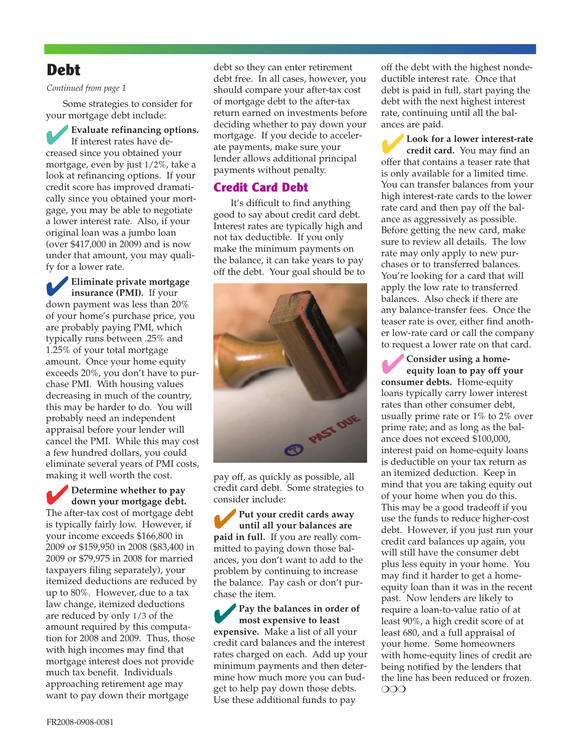## **Debt**

#### *Continued from page 1*

Some strategies to consider for your mortgage debt include:

✔**Evaluate refinancing options.** If interest rates have decreased since you obtained your mortgage, even by just 1/2%, take a look at refinancing options. If your credit score has improved dramatically since you obtained your mortgage, you may be able to negotiate a lower interest rate. Also, if your original loan was a jumbo loan (over \$417,000 in 2009) and is now under that amount, you may qualify for a lower rate.

✔**Eliminate private mortgage insurance (PMI).** If your down payment was less than 20% of your home's purchase price, you are probably paying PMI, which typically runs between .25% and 1.25% of your total mortgage amount. Once your home equity exceeds 20%, you don't have to purchase PMI. With housing values decreasing in much of the country, this may be harder to do. You will probably need an independent appraisal before your lender will cancel the PMI. While this may cost a few hundred dollars, you could eliminate several years of PMI costs, making it well worth the cost.

✔**Determine whether to pay down your mortgage debt.** The after-tax cost of mortgage debt is typically fairly low. However, if your income exceeds \$166,800 in 2009 or \$159,950 in 2008 (\$83,400 in 2009 or \$79,975 in 2008 for married taxpayers filing separately), your itemized deductions are reduced by up to 80%. However, due to a tax law change, itemized deductions are reduced by only 1/3 of the amount required by this computation for 2008 and 2009. Thus, those with high incomes may find that mortgage interest does not provide much tax benefit. Individuals approaching retirement age may want to pay down their mortgage

debt so they can enter retirement debt free. In all cases, however, you should compare your after-tax cost of mortgage debt to the after-tax return earned on investments before deciding whether to pay down your mortgage. If you decide to accelerate payments, make sure your lender allows additional principal payments without penalty.

## **Credit Card Debt**

It's difficult to find anything good to say about credit card debt. Interest rates are typically high and not tax deductible. If you only make the minimum payments on the balance, it can take years to pay off the debt. Your goal should be to



pay off, as quickly as possible, all credit card debt. Some strategies to consider include:

✔**Put your credit cards away until all your balances are paid in full.** If you are really committed to paying down those balances, you don't want to add to the problem by continuing to increase the balance. Pay cash or don't purchase the item.

✔**Pay the balances in order of most expensive to least expensive.** Make a list of all your credit card balances and the interest rates charged on each. Add up your minimum payments and then determine how much more you can budget to help pay down those debts. Use these additional funds to pay

off the debt with the highest nondeductible interest rate. Once that debt is paid in full, start paying the debt with the next highest interest rate, continuing until all the balances are paid.

✔**Look for a lower interest-rate credit card.** You may find an offer that contains a teaser rate that is only available for a limited time. You can transfer balances from your high interest-rate cards to the lower rate card and then pay off the balance as aggressively as possible. Before getting the new card, make sure to review all details. The low rate may only apply to new purchases or to transferred balances. You're looking for a card that will apply the low rate to transferred balances. Also check if there are any balance-transfer fees. Once the teaser rate is over, either find another low-rate card or call the company to request a lower rate on that card.

✔**Consider using a homeequity loan to pay off your consumer debts.** Home-equity loans typically carry lower interest rates than other consumer debt, usually prime rate or 1% to 2% over prime rate; and as long as the balance does not exceed \$100,000, interest paid on home-equity loans is deductible on your tax return as an itemized deduction. Keep in mind that you are taking equity out of your home when you do this. This may be a good tradeoff if you use the funds to reduce higher-cost debt. However, if you just run your credit card balances up again, you will still have the consumer debt plus less equity in your home. You may find it harder to get a homeequity loan than it was in the recent past. Now lenders are likely to require a loan-to-value ratio of at least 90%, a high credit score of at least 680, and a full appraisal of your home. Some homeowners with home-equity lines of credit are being notified by the lenders that the line has been reduced or frozen. ❍❍❍